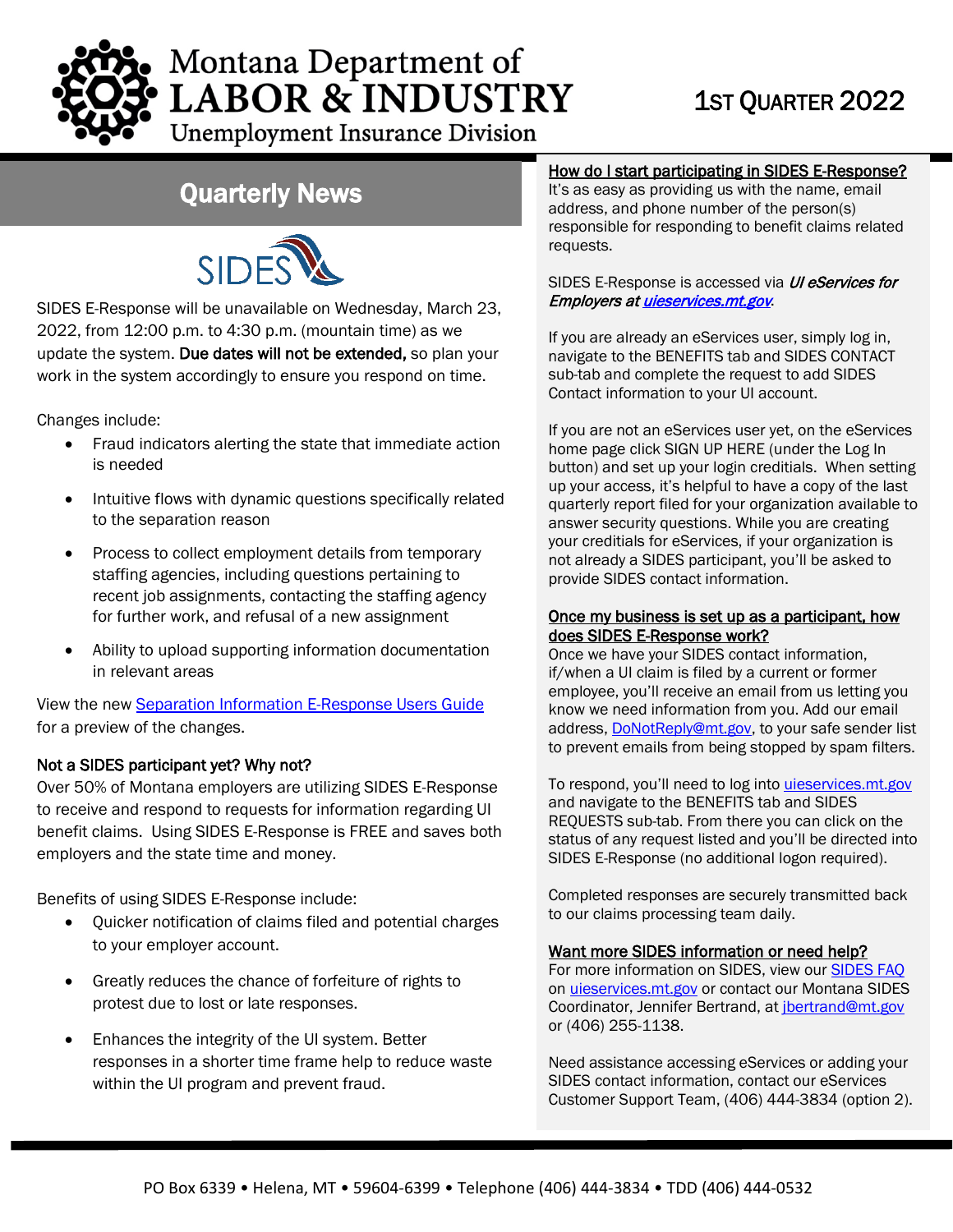

# Montana Department of **LABOR & INDUSTRY**

**Unemployment Insurance Division** 

### Quarterly News



SIDES E-Response will be unavailable on Wednesday, March 23, 2022, from 12:00 p.m. to 4:30 p.m. (mountain time) as we update the system. Due dates will not be extended, so plan your work in the system accordingly to ensure you respond on time.

Changes include:

- Fraud indicators alerting the state that immediate action is needed
- Intuitive flows with dynamic questions specifically related to the separation reason
- Process to collect employment details from temporary staffing agencies, including questions pertaining to recent job assignments, contacting the staffing agency for further work, and refusal of a new assignment
- Ability to upload supporting information documentation in relevant areas

View the new [Separation Information E-Response Users Guide](https://uid.dli.mt.gov/_docs/eServices/SeparationExchangeUserGuide.pdf) for a preview of the changes.

#### Not a SIDES participant yet? Why not?

Over 50% of Montana employers are utilizing SIDES E-Response to receive and respond to requests for information regarding UI benefit claims. Using SIDES E-Response is FREE and saves both employers and the state time and money.

Benefits of using SIDES E-Response include:

- Quicker notification of claims filed and potential charges to your employer account.
- Greatly reduces the chance of forfeiture of rights to protest due to lost or late responses.
- Enhances the integrity of the UI system. Better responses in a shorter time frame help to reduce waste within the UI program and prevent fraud.

#### How do I start participating in SIDES E-Response?

It's as easy as providing us with the name, email address, and phone number of the person(s) responsible for responding to benefit claims related requests.

#### SIDES E-Response is accessed via *UI eServices for* Employers a[t uieservices.mt.gov](https://uieservices.mt.gov/_/).

If you are already an eServices user, simply log in, navigate to the BENEFITS tab and SIDES CONTACT sub-tab and complete the request to add SIDES Contact information to your UI account.

If you are not an eServices user yet, on the eServices home page click SIGN UP HERE (under the Log In button) and set up your login creditials. When setting up your access, it's helpful to have a copy of the last quarterly report filed for your organization available to answer security questions. While you are creating your creditials for eServices, if your organization is not already a SIDES participant, you'll be asked to provide SIDES contact information.

#### Once my business is set up as a participant, how does SIDES E-Response work?

Once we have your SIDES contact information, if/when a UI claim is filed by a current or former employee, you'll receive an email from us letting you know we need information from you. Add our email address, [DoNotReply@mt.gov,](mailto:DoNotReply@mt.gov) to your safe sender list to prevent emails from being stopped by spam filters.

To respond, you'll need to log into *uieservices.mt.gov* and navigate to the BENEFITS tab and SIDES REQUESTS sub-tab. From there you can click on the status of any request listed and you'll be directed into SIDES E-Response (no additional logon required).

Completed responses are securely transmitted back to our claims processing team daily.

#### Want more SIDES information or need help?

For more information on SIDES, view our [SIDES FAQ](https://uid.dli.mt.gov/Portals/55/Documents/eServices/dli-uid-es026.pdf) on [uieservices.mt.gov o](https://uieservices.mt.gov/_/)r contact our Montana SIDES Coordinator, Jennifer Bertrand, at [jbertrand@mt.gov](mailto:jbertrand@mt.gov) or (406) 255-1138.

Need assistance accessing eServices or adding your SIDES contact information, contact our eServices Customer Support Team, (406) 444-3834 (option 2).